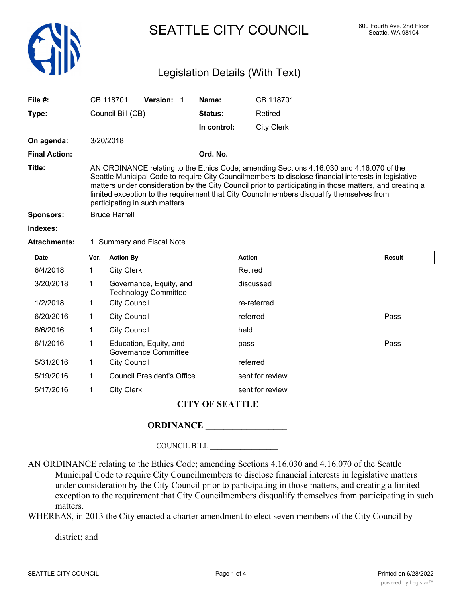

# SEATTLE CITY COUNCIL 600 Fourth Ave. 2nd Floor

## Legislation Details (With Text)

| File $#$ :           | CB 118701                                                                                                                                                                                                                                                                                                                                                                                                                                 | <b>Version:</b>            |  | Name:          | CB 118701         |
|----------------------|-------------------------------------------------------------------------------------------------------------------------------------------------------------------------------------------------------------------------------------------------------------------------------------------------------------------------------------------------------------------------------------------------------------------------------------------|----------------------------|--|----------------|-------------------|
| Type:                | Council Bill (CB)                                                                                                                                                                                                                                                                                                                                                                                                                         |                            |  | <b>Status:</b> | Retired           |
|                      |                                                                                                                                                                                                                                                                                                                                                                                                                                           |                            |  | In control:    | <b>City Clerk</b> |
| On agenda:           | 3/20/2018                                                                                                                                                                                                                                                                                                                                                                                                                                 |                            |  |                |                   |
| <b>Final Action:</b> |                                                                                                                                                                                                                                                                                                                                                                                                                                           |                            |  | Ord. No.       |                   |
| Title:               | AN ORDINANCE relating to the Ethics Code; amending Sections 4.16.030 and 4.16.070 of the<br>Seattle Municipal Code to require City Councilmembers to disclose financial interests in legislative<br>matters under consideration by the City Council prior to participating in those matters, and creating a<br>limited exception to the requirement that City Councilmembers disqualify themselves from<br>participating in such matters. |                            |  |                |                   |
| <b>Sponsors:</b>     | <b>Bruce Harrell</b>                                                                                                                                                                                                                                                                                                                                                                                                                      |                            |  |                |                   |
| Indexes:             |                                                                                                                                                                                                                                                                                                                                                                                                                                           |                            |  |                |                   |
| <b>Attachments:</b>  |                                                                                                                                                                                                                                                                                                                                                                                                                                           | 1. Summary and Fiscal Note |  |                |                   |
| <b>Data</b>          | $M_{\rm BH}$ Astronomic                                                                                                                                                                                                                                                                                                                                                                                                                   |                            |  |                | $A = 41 - 4$<br>n |

| <b>Date</b>            | Ver. | <b>Action By</b>                                       | <b>Action</b>   | <b>Result</b> |  |  |  |
|------------------------|------|--------------------------------------------------------|-----------------|---------------|--|--|--|
| 6/4/2018               | 1    | <b>City Clerk</b>                                      | Retired         |               |  |  |  |
| 3/20/2018              | 1    | Governance, Equity, and<br><b>Technology Committee</b> | discussed       |               |  |  |  |
| 1/2/2018               | 1    | <b>City Council</b>                                    | re-referred     |               |  |  |  |
| 6/20/2016              | 1    | <b>City Council</b>                                    | referred        | Pass          |  |  |  |
| 6/6/2016               | 1    | <b>City Council</b>                                    | held            |               |  |  |  |
| 6/1/2016               | 1    | Education, Equity, and<br>Governance Committee         | pass            | Pass          |  |  |  |
| 5/31/2016              | 1    | <b>City Council</b>                                    | referred        |               |  |  |  |
| 5/19/2016              | 1    | <b>Council President's Office</b>                      | sent for review |               |  |  |  |
| 5/17/2016              | 1    | <b>City Clerk</b>                                      | sent for review |               |  |  |  |
| <b>CITY OF SEATTLE</b> |      |                                                        |                 |               |  |  |  |

### **ORDINANCE \_\_\_\_\_\_\_\_\_\_\_\_\_\_\_\_\_\_**

COUNCIL BILL \_\_\_\_\_\_\_\_\_\_\_\_\_\_\_\_\_\_

AN ORDINANCE relating to the Ethics Code; amending Sections 4.16.030 and 4.16.070 of the Seattle Municipal Code to require City Councilmembers to disclose financial interests in legislative matters under consideration by the City Council prior to participating in those matters, and creating a limited exception to the requirement that City Councilmembers disqualify themselves from participating in such matters.

WHEREAS, in 2013 the City enacted a charter amendment to elect seven members of the City Council by

district; and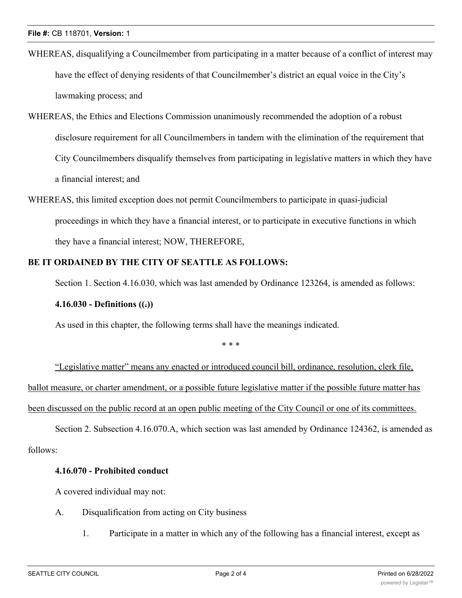- WHEREAS, disqualifying a Councilmember from participating in a matter because of a conflict of interest may have the effect of denying residents of that Councilmember's district an equal voice in the City's lawmaking process; and
- WHEREAS, the Ethics and Elections Commission unanimously recommended the adoption of a robust disclosure requirement for all Councilmembers in tandem with the elimination of the requirement that City Councilmembers disqualify themselves from participating in legislative matters in which they have a financial interest; and
- WHEREAS, this limited exception does not permit Councilmembers to participate in quasi-judicial proceedings in which they have a financial interest, or to participate in executive functions in which they have a financial interest; NOW, THEREFORE,

#### **BE IT ORDAINED BY THE CITY OF SEATTLE AS FOLLOWS:**

Section 1. Section 4.16.030, which was last amended by Ordinance 123264, is amended as follows:

#### **4.16.030 - Definitions ((.))**

As used in this chapter, the following terms shall have the meanings indicated.

\* \* \*

"Legislative matter" means any enacted or introduced council bill, ordinance, resolution, clerk file, ballot measure, or charter amendment, or a possible future legislative matter if the possible future matter has been discussed on the public record at an open public meeting of the City Council or one of its committees.

Section 2. Subsection 4.16.070.A, which section was last amended by Ordinance 124362, is amended as follows:

#### **4.16.070 - Prohibited conduct**

A covered individual may not:

- A. Disqualification from acting on City business
	- 1. Participate in a matter in which any of the following has a financial interest, except as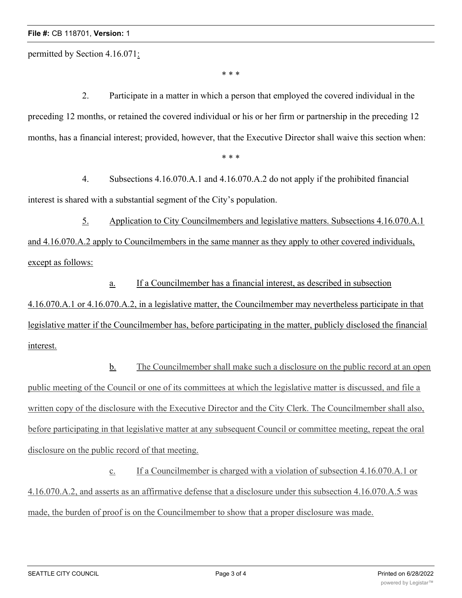permitted by Section 4.16.071:

\* \* \*

2. Participate in a matter in which a person that employed the covered individual in the preceding 12 months, or retained the covered individual or his or her firm or partnership in the preceding 12 months, has a financial interest; provided, however, that the Executive Director shall waive this section when:

\* \* \*

4. Subsections 4.16.070.A.1 and 4.16.070.A.2 do not apply if the prohibited financial interest is shared with a substantial segment of the City's population.

5. Application to City Councilmembers and legislative matters. Subsections 4.16.070.A.1 and 4.16.070.A.2 apply to Councilmembers in the same manner as they apply to other covered individuals, except as follows:

a. If a Councilmember has a financial interest, as described in subsection 4.16.070.A.1 or 4.16.070.A.2, in a legislative matter, the Councilmember may nevertheless participate in that legislative matter if the Councilmember has, before participating in the matter, publicly disclosed the financial interest.

b. The Councilmember shall make such a disclosure on the public record at an open public meeting of the Council or one of its committees at which the legislative matter is discussed, and file a written copy of the disclosure with the Executive Director and the City Clerk. The Councilmember shall also, before participating in that legislative matter at any subsequent Council or committee meeting, repeat the oral disclosure on the public record of that meeting.

c. If a Councilmember is charged with a violation of subsection 4.16.070.A.1 or 4.16.070.A.2, and asserts as an affirmative defense that a disclosure under this subsection 4.16.070.A.5 was made, the burden of proof is on the Councilmember to show that a proper disclosure was made.